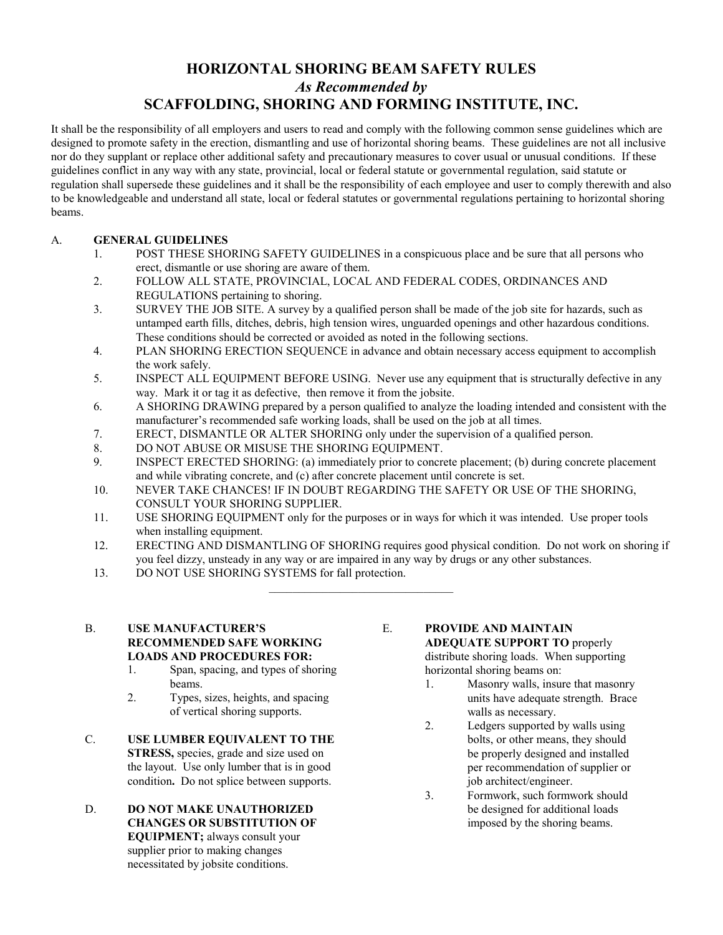# **HORIZONTAL SHORING BEAM SAFETY RULES**  *As Recommended by*  **SCAFFOLDING, SHORING AND FORMING INSTITUTE, INC.**

It shall be the responsibility of all employers and users to read and comply with the following common sense guidelines which are designed to promote safety in the erection, dismantling and use of horizontal shoring beams. These guidelines are not all inclusive nor do they supplant or replace other additional safety and precautionary measures to cover usual or unusual conditions. If these guidelines conflict in any way with any state, provincial, local or federal statute or governmental regulation, said statute or regulation shall supersede these guidelines and it shall be the responsibility of each employee and user to comply therewith and also to be knowledgeable and understand all state, local or federal statutes or governmental regulations pertaining to horizontal shoring beams.

## A. **GENERAL GUIDELINES**

- 1. POST THESE SHORING SAFETY GUIDELINES in a conspicuous place and be sure that all persons who erect, dismantle or use shoring are aware of them.
- 2. FOLLOW ALL STATE, PROVINCIAL, LOCAL AND FEDERAL CODES, ORDINANCES AND REGULATIONS pertaining to shoring.
- 3. SURVEY THE JOB SITE. A survey by a qualified person shall be made of the job site for hazards, such as untamped earth fills, ditches, debris, high tension wires, unguarded openings and other hazardous conditions. These conditions should be corrected or avoided as noted in the following sections.
- 4. PLAN SHORING ERECTION SEQUENCE in advance and obtain necessary access equipment to accomplish the work safely.
- 5. INSPECT ALL EQUIPMENT BEFORE USING. Never use any equipment that is structurally defective in any way. Mark it or tag it as defective, then remove it from the jobsite.
- 6. A SHORING DRAWING prepared by a person qualified to analyze the loading intended and consistent with the manufacturer's recommended safe working loads, shall be used on the job at all times.
- 7. ERECT, DISMANTLE OR ALTER SHORING only under the supervision of a qualified person.
- 8. DO NOT ABUSE OR MISUSE THE SHORING EQUIPMENT.
- 9. INSPECT ERECTED SHORING: (a) immediately prior to concrete placement; (b) during concrete placement and while vibrating concrete, and (c) after concrete placement until concrete is set.
- 10. NEVER TAKE CHANCES! IF IN DOUBT REGARDING THE SAFETY OR USE OF THE SHORING, CONSULT YOUR SHORING SUPPLIER.

 $\mathcal{L}_\text{max}$ 

- 11. USE SHORING EQUIPMENT only for the purposes or in ways for which it was intended. Use proper tools when installing equipment.
- 12. ERECTING AND DISMANTLING OF SHORING requires good physical condition. Do not work on shoring if you feel dizzy, unsteady in any way or are impaired in any way by drugs or any other substances.
- 13. DO NOT USE SHORING SYSTEMS for fall protection.

#### B. **USE MANUFACTURER'S RECOMMENDED SAFE WORKING LOADS AND PROCEDURES FOR:**

- 1. Span, spacing, and types of shoring beams.
- 2. Types, sizes, heights, and spacing of vertical shoring supports.
- C. **USE LUMBER EQUIVALENT TO THE STRESS,** species, grade and size used on the layout. Use only lumber that is in good condition**.** Do not splice between supports.
- D. **DO NOT MAKE UNAUTHORIZED CHANGES OR SUBSTITUTION OF EQUIPMENT;** always consult your supplier prior to making changes necessitated by jobsite conditions.

#### E. **PROVIDE AND MAINTAIN ADEQUATE SUPPORT TO** properly

distribute shoring loads. When supporting horizontal shoring beams on:

- 1. Masonry walls, insure that masonry units have adequate strength. Brace walls as necessary.
- 2. Ledgers supported by walls using bolts, or other means, they should be properly designed and installed per recommendation of supplier or job architect/engineer.
- 3. Formwork, such formwork should be designed for additional loads imposed by the shoring beams.